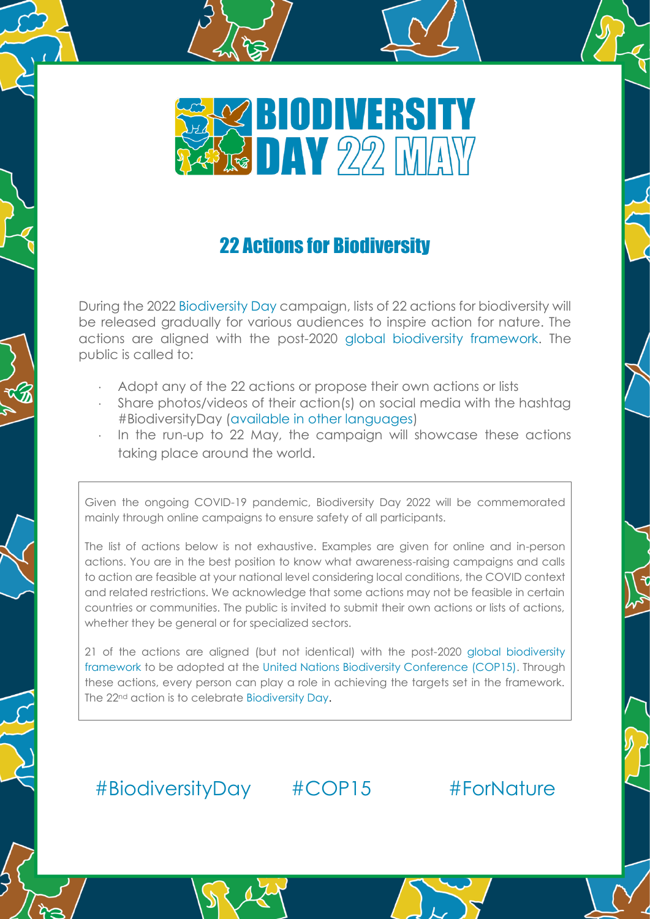

# 22 Actions for Biodiversity

During the 2022 [Biodiversity Day](https://www.cbd.int/biodiversity-day) campaign, lists of 22 actions for biodiversity will be released gradually for various audiences to inspire action for nature. The actions are aligned with the post-2020 [global biodiversity framework.](https://www.cbd.int/conferences/post2020) The public is called to:

- Adopt any of the 22 actions or propose their own actions or lists
- Share photos/videos of their action(s) on social media with the hashtag #BiodiversityDay [\(available in other languages\)](https://www.cbd.int/biodiversity-day/activities)
- In the run-up to 22 May, the campaign will showcase these actions taking place around the world.

Given the ongoing COVID-19 pandemic, Biodiversity Day 2022 will be commemorated mainly through online campaigns to ensure safety of all participants.

The list of actions below is not exhaustive. Examples are given for online and in-person actions. You are in the best position to know what awareness-raising campaigns and calls to action are feasible at your national level considering local conditions, the COVID context and related restrictions. We acknowledge that some actions may not be feasible in certain countries or communities. The public is invited to submit their own actions or lists of actions, whether they be general or for specialized sectors.

21 of the actions are aligned (but not identical) with the post-2020 [global biodiversity](https://www.cbd.int/conferences/post2020)  [framework](https://www.cbd.int/conferences/post2020) to be adopted at the [United Nations Biodiversity Conference \(COP15\).](https://www.cbd.int/conferences/2021-2022) Through these actions, every person can play a role in achieving the targets set in the framework. The 22nd action is to celebrate [Biodiversity Day.](https://www.cbd.int/biodiversity-day)

# [#BiodiversityDay](https://www.facebook.com/UNBiodiversity/) #COP15 #ForNature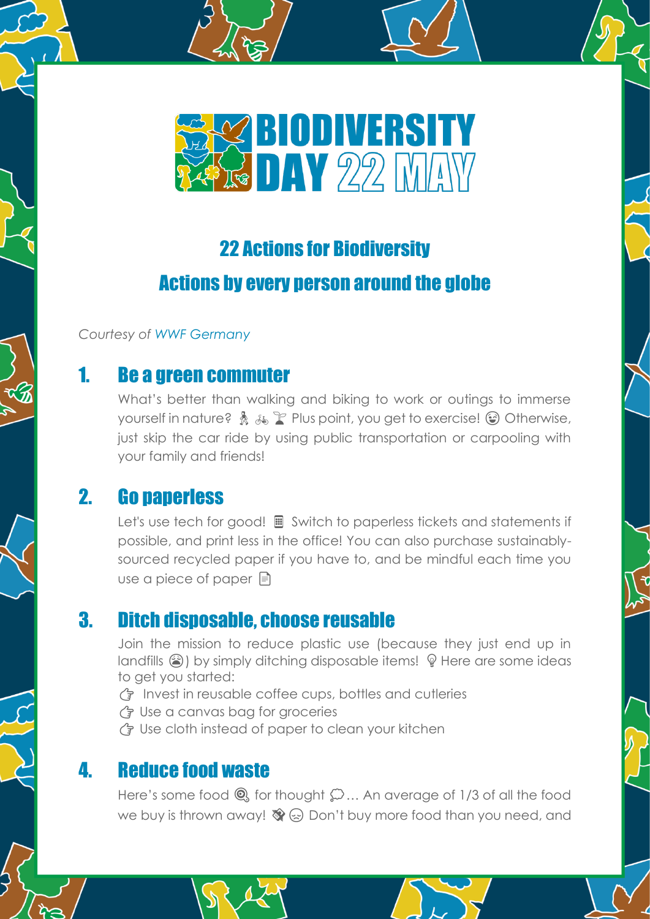

# 22 Actions for Biodiversity

# Actions by every person around the globe

*Courtesy of [WWF Germany](https://www.wwf.de/)*

# 1. Be a green commuter

What's better than walking and biking to work or outings to immerse yourself in nature?  $\frac{1}{2}$   $\frac{1}{4}$   $\frac{1}{4}$  Plus point, you get to exercise!  $\odot$  Otherwise, just skip the car ride by using public transportation or carpooling with your family and friends!

# 2. Go paperless

Let's use tech for good!  $\blacksquare$  Switch to paperless tickets and statements if possible, and print less in the office! You can also purchase sustainablysourced recycled paper if you have to, and be mindful each time you use a piece of paper  $\equiv$ 

# 3. Ditch disposable, choose reusable

Join the mission to reduce plastic use (because they just end up in landfills  $\circledast$ ) by simply ditching disposable items!  $\circledast$  Here are some ideas to get you started:

- $\binom{2}{3}$  Invest in reusable coffee cups, bottles and cutleries
- Use a canvas bag for groceries
- G Use cloth instead of paper to clean your kitchen

# 4. Reduce food waste

Here's some food  $\mathbf{Q}$ , for thought  $\mathbf{Q}$ ... An average of 1/3 of all the food we buy is thrown away!  $\mathcal{D}(\mathbb{R})$  Don't buy more food than you need, and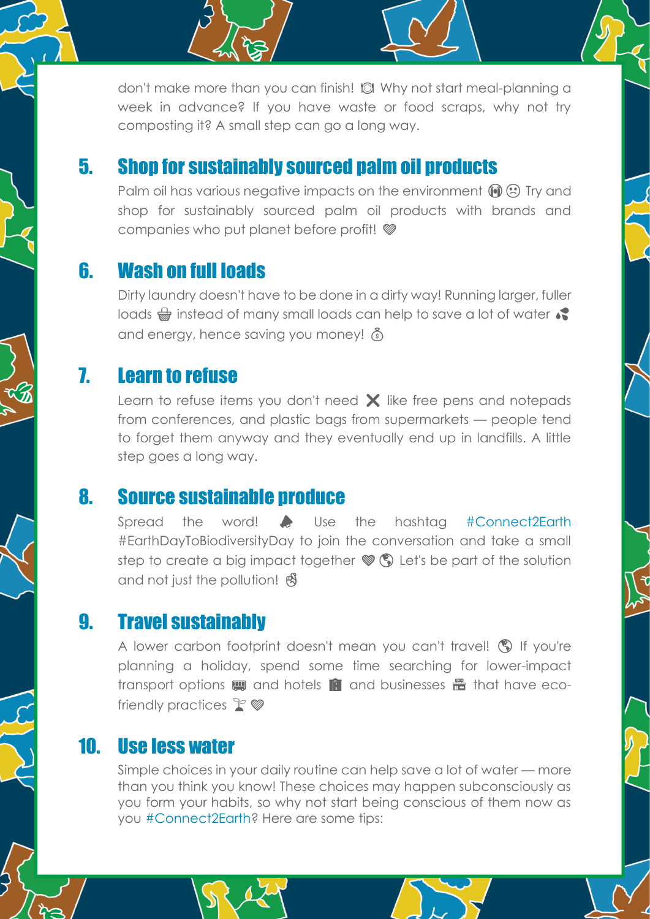don't make more than you can finish! "I Why not start meal-planning a week in advance? If you have waste or food scraps, why not try composting it? A small step can go a long way.

# 5. Shop for sustainably sourced palm oil products

Palm oil has various negative impacts on the environment  $\mathbf{\widehat{M}}\mathbf{\odot}$  Try and shop for sustainably sourced palm oil products with brands and companies who put planet before profit!

# 6. Wash on full loads

Dirty laundry doesn't have to be done in a dirty way! Running larger, fuller loads  $\frac{1}{\sqrt{2}}$  instead of many small loads can help to save a lot of water  $\sqrt{2}$ and energy, hence saving you money!  $\delta$ 

## 7. Learn to refuse

Learn to refuse items you don't need  $\times$  like free pens and notepads from conferences, and plastic bags from supermarkets — people tend to forget them anyway and they eventually end up in landfills. A little step goes a long way.

### 8. Source sustainable produce

Spread the word!  $\blacktriangleright$  Use the hashtag [#Connect2Earth](https://connect2earth.org/) #EarthDayToBiodiversityDay to join the conversation and take a small step to create a big impact together  $\mathcal{F}(\mathcal{S})$  Let's be part of the solution and not just the pollution!

# 9. Travel sustainably

A lower carbon footprint doesn't mean you can't travel! (C) If you're planning a holiday, spend some time searching for lower-impact transport options  $\mathbf{m}$  and hotels  $\mathbf{m}$  and businesses  $\mathbf{m}$  that have ecofriendly practices  $\mathbb{F}$   $\mathscr{D}$ 

## 10. Use less water

Simple choices in your daily routine can help save a lot of water — more than you think you know! These choices may happen subconsciously as you form your habits, so why not start being conscious of them now as you [#Connect2Earth?](https://connect2earth.org/) Here are some tips: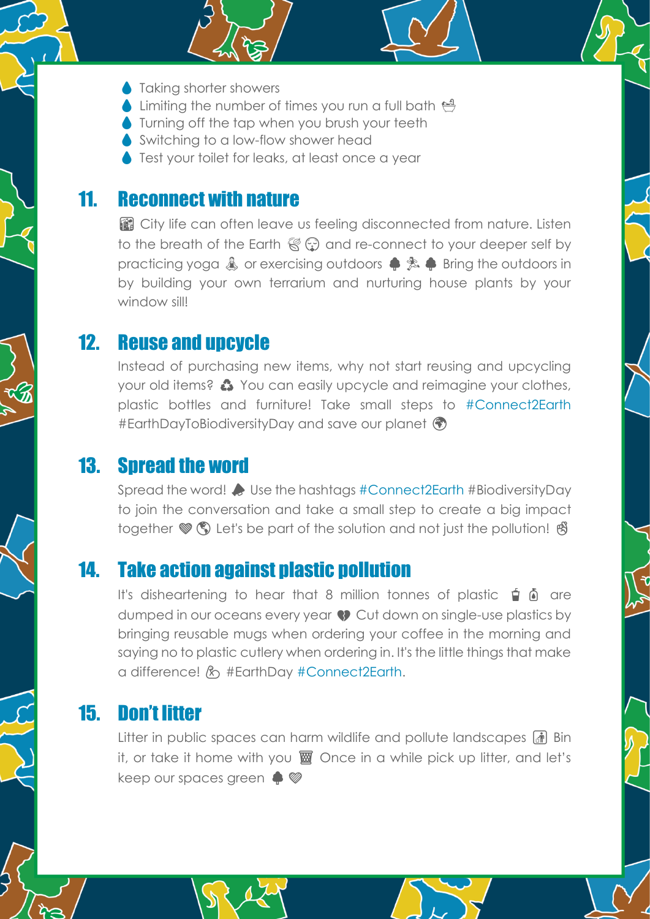- **A** Taking shorter showers
- Imiting the number of times you run a full bath
- Turning off the tap when you brush your teeth
- Switching to a low-flow shower head
- **Test your toilet for leaks, at least once a year**

#### 11. Reconnect with nature

️ City life can often leave us feeling disconnected from nature. Listen to the breath of the Earth  $\mathbb{C}$  and re-connect to your deeper self by practicing yoga  $\triangle$  or exercising outdoors  $\triangle$   $\triangle$  Bring the outdoors in by building your own terrarium and nurturing house plants by your window sill!

### 12. Reuse and upcycle

Instead of purchasing new items, why not start reusing and upcycling your old items? ♻️ You can easily upcycle and reimagine your clothes, plastic bottles and furniture! Take small steps to [#Connect2Earth](https://connect2earth.org/) #EarthDayToBiodiversityDay and save our planet

## 13. Spread the word

Spread the word! Use the hashtags [#Connect2Earth](https://connect2earth.org/) #BiodiversityDay to join the conversation and take a small step to create a big impact together  $\mathcal{F}(\mathbb{S})$  Let's be part of the solution and not just the pollution!  $\mathcal{B}$ 

## 14. Take action against plastic pollution

It's disheartening to hear that 8 million tonnes of plastic  $\phi$  of are dumped in our oceans every year  $\bullet$  Cut down on single-use plastics by bringing reusable mugs when ordering your coffee in the morning and saying no to plastic cutlery when ordering in. It's the little things that make a difference! & #EarthDay [#Connect2Earth.](https://connect2earth.org/)

# 15. Don't litter

Litter in public spaces can harm wildlife and pollute landscapes **Fig.** Bin it, or take it home with you **▒** Once in a while pick up litter, and let's keep our spaces green  $\clubsuit$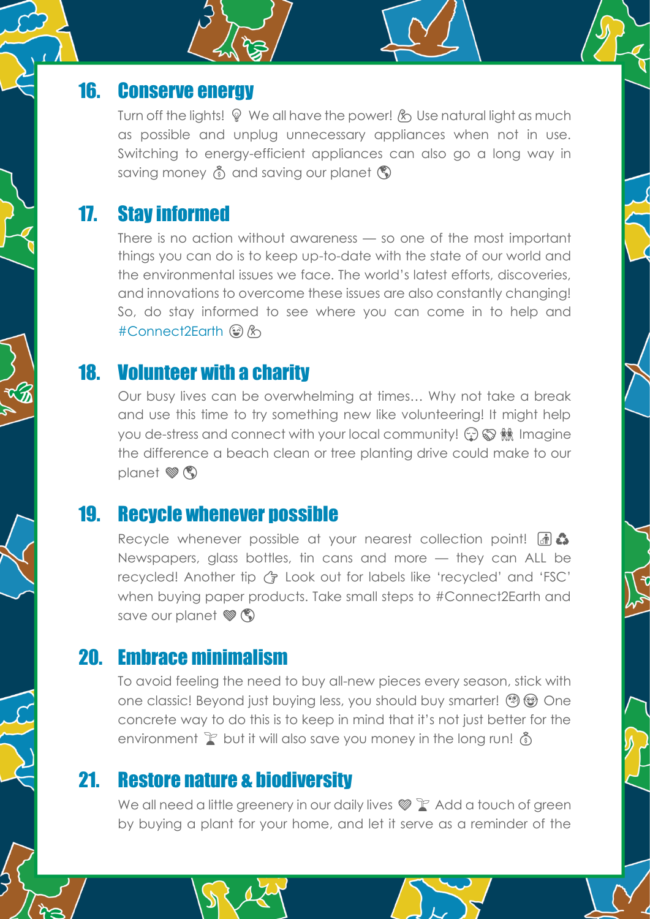### 16. Conserve energy

Turn off the lights!  $\mathcal{P}$  We all have the power!  $\mathcal{R}$  Use natural light as much as possible and unplug unnecessary appliances when not in use. Switching to energy-efficient appliances can also go a long way in saving money  $\delta$  and saving our planet  $\mathcal{D}$ 

## 17. Stay informed

There is no action without awareness — so one of the most important things you can do is to keep up-to-date with the state of our world and the environmental issues we face. The world's latest efforts, discoveries, and innovations to overcome these issues are also constantly changing! So, do stay informed to see where you can come in to help and [#Connect2Earth](https://connect2earth.org/) 3 &

### 18. Volunteer with a charity

Our busy lives can be overwhelming at times… Why not take a break and use this time to try something new like volunteering! It might help you de-stress and connect with your local community!  $\circled{r} \otimes \mathbb{R}$  Imagine the difference a beach clean or tree planting drive could make to our planet  $\mathscr{B}(\mathbb{C})$ 

#### 19. Recycle whenever possible

Recycle whenever possible at your nearest collection point! **at a** Newspapers, glass bottles, tin cans and more — they can ALL be recycled! Another tip  $\binom{2}{7}$  Look out for labels like 'recycled' and 'FSC' when buying paper products. Take small steps to #Connect2Earth and save our planet  $\mathscr{B}(\mathbb{C})$ 

### 20. Embrace minimalism

To avoid feeling the need to buy all-new pieces every season, stick with one classic! Beyond just buying less, you should buy smarter!  $\mathcal{P}(\mathcal{D})$  One concrete way to do this is to keep in mind that it's not just better for the environment  $\mathbb F$  but it will also save you money in the long run!  $\mathbb{\delta}$ 

### 21. Restore nature & biodiversity

We all need a little greenery in our daily lives  $\mathcal{P}$  Add a touch of green by buying a plant for your home, and let it serve as a reminder of the